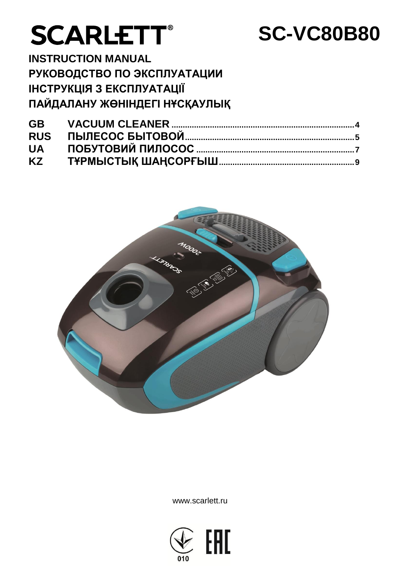# **SCARLETT®**

## **SC-VC80B80**

**INSTRUCTION MANUAL РУКОВОДСТВО ПО ЭКСПЛУАТАЦИИ ІНСТРУКЦІЯ З ЕКСПЛУАТАЦІЇ ПАЙДАЛАНУ ЖӨНІНДЕГІ НҰСҚАУЛЫҚ**



www.scarlett.ru

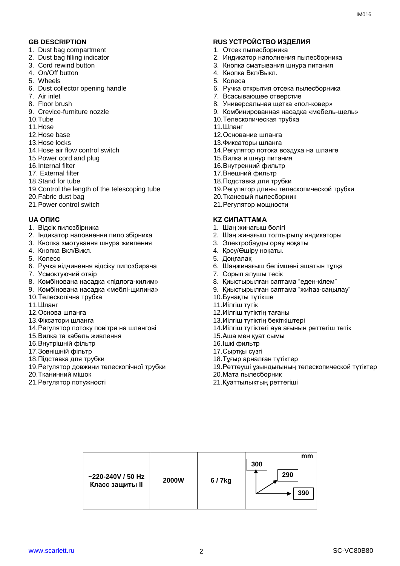- 1. Dust bag compartment
- 2. Dust bag filling indicator
- 3. Cord rewind button
- 4. On/Off button
- 5. Wheels
- 6. Dust collector opening handle
- 7. Air inlet
- 8. Floor brush
- 9. Crevice-furniture nozzle
- 10.Tube
- 11.Hose
- 12.Hose base
- 13.Hose locks
- 14.Hose air flow control switch
- 15.Power cord and plug
- 16.Internal filter
- 17. External filter
- 18.Stand for tube
- 19.Control the length of the telescoping tube
- 20.Fabric dust bag
- 21.Power control switch

- 1. Відсік пилозбірника
- 2. Індикатор наповнення пило збірника
- 3. Кнопка змотування шнура живлення
- 4. Кнопка Вкл/Викл.
- 5. Колесо
- 6. Ручка відчинення відсіку пилозбирача
- 7. Усмоктуючий отвір
- 8. Комбінована насадка «підлога-килим»
- 9. Комбінована насадка «меблі-щилина»
- 10.Телескопічна трубка
- 11.Шланг
- 12.Основа шланга
- 13.Фіксатори шланга
- 14.Регулятор потоку повітря на шлангові
- 15.Вилка та кабель живлення
- 16.Внутрішній фільтр
- 17.Зовнішній фільтр
- 18.Підставка для трубки
- 19.Регулятор довжини телескопічної трубки
- 20.Тканинний мішок
- 21.Регулятор потужності

#### **GB DESCRIPTION RUS УСТРОЙСТВО ИЗДЕЛИЯ**

- 1. Отсек пылесборника
- 2. Индикатор наполнения пылесборника
- 3. Кнопка сматывания шнура питания
- 4. Кнопка Вкл/Выкл.
- 5. Колеса
- 6. Ручка открытия отсека пылесборника
- 7. Всасывающее отверстие
- 8. Универсальная щетка «пол-ковер»
- 9. Комбинированная насадка «мебель-щель»
- 10.Телескопическая трубка
- 11.Шланг
- 12.Основание шланга
- 13.Фиксаторы шланга
- 14.Регулятор потока воздуха на шланге
- 15.Вилка и шнур питания
- 16.Внутренний фильтр
- 17.Внешний фильтр
- 18.Подставка для трубки
- 19.Регулятор длины телескопической трубки
- 20.Тканевый пылесборник
- 21.Регулятор мощности

#### **UA ОПИС KZ СИПАТТАМА**

- 1. Шаң жинағыш бөлігі
- 2. Шаң жинағыш толтырылу индикаторы
- 3. Электробауды орау ноқаты
- 4. Қосу/Өшіру ноқаты.
- 5. Доңғалақ
- 6. Шаңжинағыш бөлімшені ашатын тұтқа
- 7. Сорып алушы тесік
- 8. Қиыстырылған саптама "еден-кілем"
- 9. Қиыстырылған саптама "жиһаз-саңылау"
- 10.Бунақты түтікше
- 11.Иілгіш түтік
- 12.Иілгіш түтіктің тағаны
- 13.Иілгіш түтіктің бекіткіштері
- 14.Иілгіш түтіктегі ауа ағынын реттегіш тетік
- 15.Аша мен қуат сымы
- 16.Ішкі фильтр
- 17.Сыртқы сүзгі
- 18.Тұғыр арналған түтіктер
- 19.Реттеуші ұзындығының телескопической түтіктер
- 20.Мата пылесборник
- 21.Қуаттылықтың реттегіші

| ~220-240V / 50 Hz<br>Класс защиты II | <b>2000W</b> | 6/7kg | mm<br>300<br>290<br>390 |
|--------------------------------------|--------------|-------|-------------------------|
|--------------------------------------|--------------|-------|-------------------------|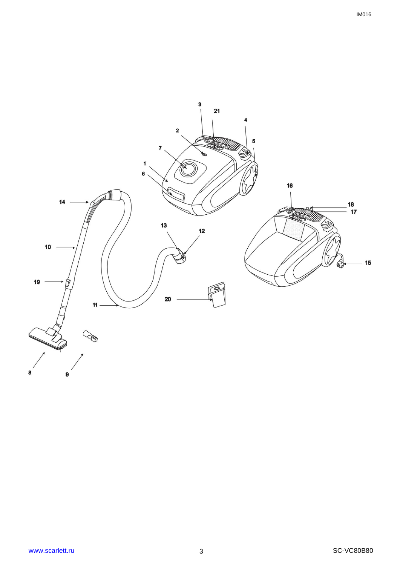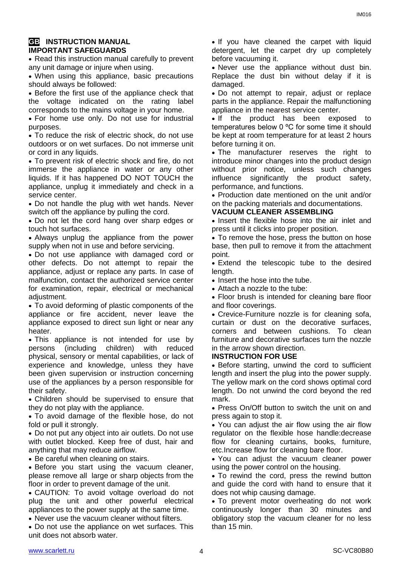#### **GB** INSTRUCTION MANUAL **IMPORTANT SAFEGUARDS**

• Read this instruction manual carefully to prevent any unit damage or injure when using.

• When using this appliance, basic precautions should always be followed:

• Before the first use of the appliance check that the voltage indicated on the rating label corresponds to the mains voltage in your home.

 For home use only. Do not use for industrial purposes.

 To reduce the risk of electric shock, do not use outdoors or on wet surfaces. Do not immerse unit or cord in any liquids.

 To prevent risk of electric shock and fire, do not immerse the appliance in water or any other liquids. If it has happened DO NOT TOUCH the appliance, unplug it immediately and check in a service center.

 Do not handle the plug with wet hands. Never switch off the appliance by pulling the cord.

 Do not let the cord hang over sharp edges or touch hot surfaces.

 Always unplug the appliance from the power supply when not in use and before servicing.

 Do not use appliance with damaged cord or other defects. Do not attempt to repair the appliance, adjust or replace any parts. In case of malfunction, contact the authorized service center for examination, repair, electrical or mechanical adjustment.

 To avoid deforming of plastic components of the appliance or fire accident, never leave the appliance exposed to direct sun light or near any heater.

 This appliance is not intended for use by persons (including children) with reduced physical, sensory or mental capabilities, or lack of experience and knowledge, unless they have been given supervision or instruction concerning use of the appliances by a person responsible for their safety.

 Children should be supervised to ensure that they do not play with the appliance.

 To avoid damage of the flexible hose, do not fold or pull it strongly.

 Do not put any object into air outlets. Do not use with outlet blocked. Keep free of dust, hair and anything that may reduce airflow.

• Be careful when cleaning on stairs.

 Before you start using the vacuum cleaner, please remove all large or sharp objects from the floor in order to prevent damage of the unit.

 CAUTION: To avoid voltage overload do not plug the unit and other powerful electrical appliances to the power supply at the same time.

Never use the vacuum cleaner without filters.

 Do not use the appliance on wet surfaces. This unit does not absorb water.

• If you have cleaned the carpet with liquid detergent, let the carpet dry up completely before vacuuming it.

 Never use the appliance without dust bin. Replace the dust bin without delay if it is damaged.

 Do not attempt to repair, adjust or replace parts in the appliance. Repair the malfunctioning appliance in the nearest service center.

• If the product has been exposed to temperatures below 0 ºC for some time it should be kept at room temperature for at least 2 hours before turning it on.

• The manufacturer reserves the right to introduce minor changes into the product design without prior notice, unless such changes influence significantly the product safety, performance, and functions.

 Production date mentioned on the unit and/or on the packing materials and documentations.

#### **VACUUM CLEANER ASSEMBLING**

• Insert the flexible hose into the air inlet and press until it clicks into proper position.

 To remove the hose, press the button on hose base, then pull to remove it from the attachment point.

 Extend the telescopic tube to the desired length.

- Insert the hose into the tube.
- Attach a nozzle to the tube:

 Floor brush is intended for cleaning bare floor and floor coverings.

 Crevice-Furniture nozzle is for cleaning sofa, curtain or dust on the decorative surfaces, corners and between cushions. To clean furniture and decorative surfaces turn the nozzle in the arrow shown direction.

#### **INSTRUCTION FOR USE**

 Before starting, unwind the cord to sufficient length and insert the plug into the power supply. The yellow mark on the cord shows optimal cord length. Do not unwind the cord beyond the red mark.

 Press On/Off button to switch the unit on and press again to stop it.

 You can adjust the air flow using the air flow regulator on the flexible hose handle:decrease flow for cleaning curtains, books, furniture, etc.Increase flow for cleaning bare floor.

 You can adjust the vacuum cleaner power using the power control on the housing.

 To rewind the cord, press the rewind button and guide the cord with hand to ensure that it does not whip causing damage.

 To prevent motor overheating do not work continuously longer than 30 minutes and obligatory stop the vacuum cleaner for no less than 15 min.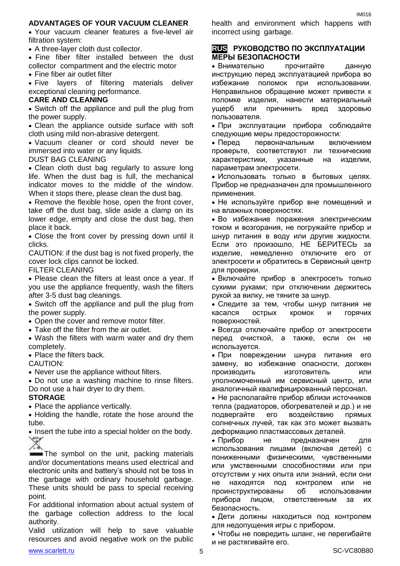## **ADVANTAGES OF YOUR VACUUM CLEANER**

 Your vacuum cleaner features a five-level air filtration system:

A three-layer cloth dust collector.

 Fine fiber filter installed between the dust collector compartment and the electric motor

Fine fiber air outlet filter

 Five layers of filtering materials deliver exceptional cleaning performance.

#### **CARE AND CLEANING**

 Switch off the appliance and pull the plug from the power supply.

 Clean the appliance outside surface with soft cloth using mild non-abrasive detergent.

 Vacuum cleaner or cord should never be immersed into water or any liquids.

#### DUST BAG CLEANING

 Clean cloth dust bag regularly to assure long life. When the dust bag is full, the mechanical indicator moves to the middle of the window. When it stops there, please clean the dust bag.

• Remove the flexible hose, open the front cover, take off the dust bag, slide aside a clamp on its lower edge, empty and close the dust bag, then place it back.

• Close the front cover by pressing down until it clicks.

CAUTION: if the dust bag is not fixed properly, the cover lock clips cannot be locked.

FILTER CLEANING

• Please clean the filters at least once a year. If you use the appliance frequently, wash the filters after 3-5 dust bag cleanings.

 Switch off the appliance and pull the plug from the power supply.

• Open the cover and remove motor filter.

• Take off the filter from the air outlet.

 Wash the filters with warm water and dry them completely.

• Place the filters back.

CAUTION:

• Never use the appliance without filters.

 Do not use a washing machine to rinse filters. Do not use a hair dryer to dry them.

#### **STORAGE**

• Place the appliance vertically.

 Holding the handle, rotate the hose around the tube.

Insert the tube into a special holder on the body.<br> $\mathbb X$ 

The symbol on the unit, packing materials and/or documentations means used electrical and electronic units and battery's should not be toss in the garbage with ordinary household garbage. These units should be pass to special receiving point.

For additional information about actual system of the garbage collection address to the local authority.

Valid utilization will help to save valuable resources and avoid negative work on the public health and environment which happens with incorrect using garbage.

#### **RUS РУКОВОДСТВО ПО ЭКСПЛУАТАЦИИ МЕРЫ БЕЗОПАСНОСТИ**

 Внимательно прочитайте данную инструкцию перед эксплуатацией прибора во избежание поломок при использовании. Неправильное обращение может привести к поломке изделия, нанести материальный ущерб или причинить вред здоровью пользователя.

 При эксплуатации прибора соблюдайте следующие меры предосторожности:

 Перед первоначальным включением проверьте, соответствуют ли технические характеристики, указанные на изделии, параметрам электросети.

 Использовать только в бытовых целях. Прибор не предназначен для промышленного применения.

• Не используйте прибор вне помещений и на влажных поверхностях.

 Во избежание поражения электрическим током и возгорания, не погружайте прибор и шнур питания в воду или другие жидкости. Если это произошло, НЕ БЕРИТЕСЬ за изделие, немедленно отключите его от электросети и обратитесь в Сервисный центр для проверки.

 Включайте прибор в электросеть только сухими руками; при отключении держитесь рукой за вилку, не тяните за шнур.

 Следите за тем, чтобы шнур питания не касался острых кромок и горячих поверхностей.

 Всегда отключайте прибор от электросети перед очисткой, а также, если он не используется.

 При повреждении шнура питания его замену, во избежание опасности, должен производить изготовитель или уполномоченный им сервисный центр, или аналогичный квалифицированный персонал.

 Не располагайте прибор вблизи источников тепла (радиаторов, обогревателей и др.) и не подвергайте его воздействию прямых солнечных лучей, так как это может вызвать деформацию пластмассовых деталей.

 Прибор не предназначен для использования лицами (включая детей) с пониженными физическими, чувственными или умственными способностями или при отсутствии у них опыта или знаний, если они не находятся под контролем или не проинструктированы об использовании прибора лицом, ответственным за их безопасность.

 Дети должны находиться под контролем для недопущения игры с прибором.

 Чтобы не повредить шланг, не перегибайте и не растягивайте его.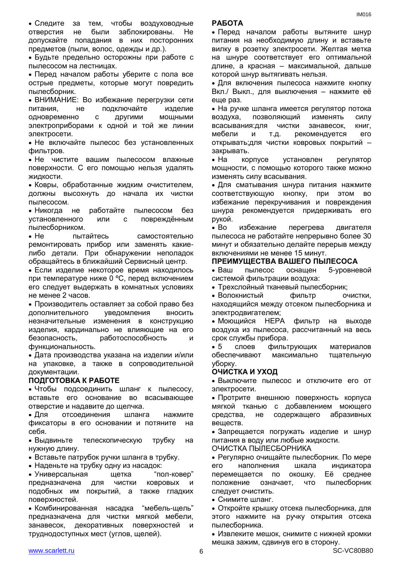Следите за тем, чтобы воздуховодные отверстия не были заблокированы. Не допускайте попадания в них посторонних предметов (пыли, волос, одежды и др.).

 Будьте предельно осторожны при работе с пылесосом на лестницах.

 Перед началом работы уберите с пола все острые предметы, которые могут повредить пылесборник.

 ВНИМАНИЕ: Во избежание перегрузки сети питания, не подключайте изделие одновременно с другими мощными электроприборами к одной и той же линии электросети.

 Не включайте пылесос без установленных фильтров.

• Не чистите вашим пылесосом влажные поверхности. С его помощью нельзя удалять жидкости.

• Ковры, обработанные жидким очистителем, должны высохнуть до начала их чистки пылесосом.

 Никогда не работайте пылесосом без установленного или с повреждённым пылесборником.

• Не пытайтесь самостоятельно ремонтировать прибор или заменять какиелибо детали. При обнаружении неполадок обращайтесь в ближайший Сервисный центр.

 Если изделие некоторое время находилось при температуре ниже 0 ºC, перед включением его следует выдержать в комнатных условиях не менее 2 часов.

 Производитель оставляет за собой право без дополнительного уведомления вносить незначительные изменения в конструкцию изделия, кардинально не влияющие на его безопасность, работоспособность и функциональность.

 Дата производства указана на изделии и/или на упаковке, а также в сопроводительной документации.

#### **ПОДГОТОВКА К РАБОТЕ**

 Чтобы подсоединить шланг к пылесосу, вставьте его основание во всасывающее отверстие и надавите до щелчка.

 Для отсоединения шланга нажмите фиксаторы в его основании и потяните на себя.

 Выдвиньте телескопическую трубку на нужную длину.

Вставьте патрубок ручки шланга в трубку.

• Наденьте на трубку одну из насадок:

 Универсальная щетка "пол-ковер" предназначена для чистки ковровых и подобных им покрытий, а также гладких поверхностей.

• Комбинированная насадка "мебель-щель" предназначена для чистки мягкой мебели, занавесок, декоративных поверхностей и труднодоступных мест (углов, щелей).

#### **РАБОТА**

 Перед началом работы вытяните шнур питания на необходимую длину и вставьте вилку в розетку электросети. Желтая метка на шнуре соответствует его оптимальной длине, а красная – максимальной, дальше которой шнур вытягивать нельзя.

 Для включения пылесоса нажмите кнопку Вкл./ Выкл., для выключения – нажмите её еще раз.

 На ручке шланга имеется регулятор потока воздуха, позволяющий изменять силу всасывания:для чистки занавесок, книг, мебели и т.д. рекомендуется его открывать;для чистки ковровых покрытий – закрывать.

• На корпусе установлен регулятор мощности, с помощью которого также можно изменять силу всасывания.

 Для сматывания шнура питания нажмите соответствующую кнопку, при этом во избежание перекручивания и повреждения шнура рекомендуется придерживать его рукой.

• Во избежание перегрева двигателя пылесоса не работайте непрерывно более 30 минут и обязательно делайте перерыв между включениями не менее 15 минут.

#### **ПРЕИМУЩЕСТВА ВАШЕГО ПЫЛЕСОСА**

 Ваш пылесос оснащен 5-уровневой системой фильтрации воздуха:

Трехслойный тканевый пылесборник;

 Волокнистый фильтр очистки, находящийся между отсеком пылесборника и электродвигателем;

 Моющийся HEPA фильтр на выходе воздуха из пылесоса, рассчитанный на весь срок службы прибора.

 5 слоев фильтрующих материалов обеспечивают максимально тщательную уборку.

### **ОЧИСТКА И УХОД**

 Выключите пылесос и отключите его от электросети.

 Протрите внешнюю поверхность корпуса мягкой тканью с добавлением моющего средства, не содержащего абразивных веществ.

 Запрещается погружать изделие и шнур питания в воду или любые жидкости.

ОЧИСТКА ПЫЛЕСБОРНИКА

 Регулярно очищайте пылесборник. По мере его наполнения шкала индикатора перемещается по окошку. Её среднее положение означает, что пылесборник следует очистить.

Снимите шланг.

 Откройте крышку отсека пылесборника, для этого нажмите на ручку открытия отсека пылесборника.

 Извлеките мешок, снимите с нижней кромки мешка зажим, сдвинув его в сторону.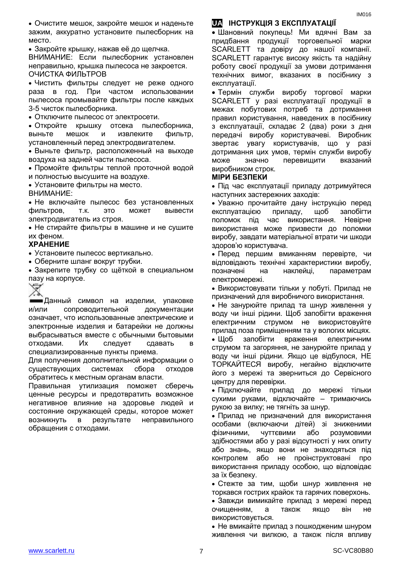Очистите мешок, закройте мешок и наденьте зажим, аккуратно установите пылесборник на место.

Закройте крышку, нажав её до щелчка.

ВНИМАНИЕ: Если пылесборник установлен неправильно, крышка пылесоса не закроется. ОЧИСТКА ФИЛЬТРОВ

 Чистить фильтры следует не реже одного раза в год. При частом использовании пылесоса промывайте фильтры после каждых 3-5 чисток пылесборника.

Отключите пылесос от электросети.

 Откройте крышку отсека пылесборника, выньте мешок и извлеките фильтр, установленный перед электродвигателем.

 Выньте фильтр, расположенный на выходе воздуха на задней части пылесоса.

 Промойте фильтры теплой проточной водой и полностью высушите на воздухе.

Установите фильтры на место.

ВНИМАНИЕ:

• Не включайте пылесос без установленных фильтров, т.к. это может вывести электродвигатель из строя.

 Не стирайте фильтры в машине и не сушите их феном.

#### **ХРАНЕНИЕ**

Ģ

Установите пылесос вертикально.

Оберните шланг вокруг трубки.

 Закрепите трубку со щёткой в специальном пазу на корпусе.

Данный символ на изделии, упаковке и/или сопроводительной документации означает, что использованные электрические и электронные изделия и батарейки не должны выбрасываться вместе с обычными бытовыми отходами. Их следует сдавать специализированные пункты приема.

Для получения дополнительной информации о существующих системах сбора отходов обратитесь к местным органам власти.

Правильная утилизация поможет сберечь ценные ресурсы и предотвратить возможное негативное влияние на здоровье людей и состояние окружающей среды, которое может возникнуть в результате неправильного обращения с отходами.

#### **UA ІНСТРУКЦІЯ З ЕКСПЛУАТАЦІЇ**

 Шановний покупець! Ми вдячні Вам за придбання продукції торговельної марки SCARLETT та довіру до нашої компанії. SCARLETT гарантує високу якість та надійну роботу своєї продукції за умови дотримання технічних вимог, вказаних в посібнику з експлуатації.

 Термін служби виробу торгової марки SCARLETT у разі експлуатації продукції в межах побутових потреб та дотримання правил користування, наведених в посібнику з експлуатації, складає 2 (два) роки з дня передачі виробу користувачеві. Виробник звертає увагу користувачів, що у разі дотримання цих умов, термін служби виробу може значно перевищити вказаний виробником строк.

#### **МІРИ БЕЗПЕКИ**

 Пiд час експлуатації приладу дотримуйтеся наступних застережних заходів:

 Уважно прочитайте дану інструкцію перед експлуатацією приладу, щоб запобігти поломок пiд час використання. Невірне використання може призвести до поломки виробу, завдати матеріальної втрати чи шкоди здоров'ю користувача.

 Перед першим вмиканням перевірте, чи відповідають технічні характеристики виробу, позначені на наклейці, параметрам електромережі.

 Використовувати тільки у побуті. Прилад не призначений для виробничого використання.

• Не занурюйте прилад та шнур живлення у воду чи інші рідини. Щоб запобігти враження електричним струмом не використовуйте прилад поза приміщенням та у вологих місцях.

• Щоб запобігти враження електричним струмом та загоряння, не занурюйте прилад у воду чи інші рідини. Якщо це відбулося, НЕ ТОРКАЙТЕСЯ виробу, негайно відключите його з мережі та зверниться до Сервісного центру для перевірки.

 Підключайте прилад до мережі тільки сухими руками, відключайте – тримаючись рукою за вилку; не тягніть за шнур.

 Прилад не призначений для використання особами (включаючи дітей) зі зниженими фізичними, чуттєвими або розумовими здібностями або у разі відсутності у них опиту або знань, якщо вони не знаходяться під контролем або не проінструктовані про використання приладу особою, що відповідає за їх безпеку.

 Стежте за тим, щоби шнур живлення не торкався гострих крайок та гарячих поверхонь. Завжди вимикайте прилад з мережі перед очищенням, а також якщо він не використовується.

• Не вмикайте прилад з пошкодженим шнуром живлення чи вилкою, а також після впливу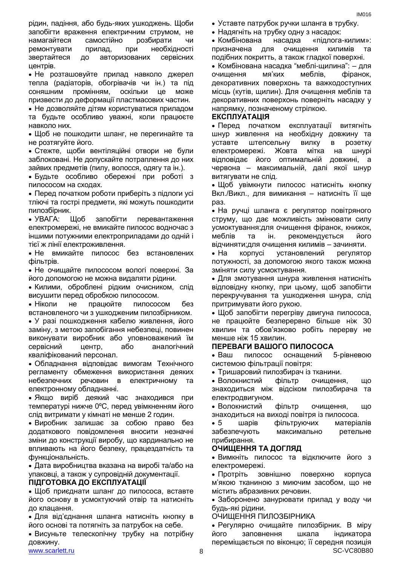рідин, падіння, або будь-яких ушкоджень. Щоби запобігти враження електричним струмом, не намагайтеся самостійно розбирати чи ремонтувати прилад, при необхідності звертайтеся до авторизованих сервісних центрів.

 Не розташовуйте прилад навколо джерел тепла (радіаторів, обогрівачів чи ін.) та під соняшним промінням, оскільки це може призвести до деформації пластмасових частин.

 Не дозволяйте дітям користуватися приладом та будьте особливо уважні, коли працюєте навколо них.

 Щоб не пошкодити шланг, не перегинайте та не розтягуйте його.

 Стежте, щоби вентіляційні отвори не були заблоковані. Не допускайте потраплення до них зайвих предметів (пилу, волосся, одягу та ін.).

 Будьте особливо обережні при роботі з пилососом на сходах.

 Перед початком роботи приберіть з підлоги усі тліючі та гострі предмети, які можуть пошкодити пилозбірник.

 УВАГА: Щоб запобігти перевантаження електромережі, не вмикайте пилосос водночас з іншими потужними електроприладами до одній і тієї ж лінії електроживлення.

• Не вмикайте пилосос без встановлених фільтрів.

 Не очищайте пилососом вологі поверхні. За його допомогою не можна видаляти рідини.

 Килими, оброблені рідким очисником, слід висушити перед обробкою пилососом.

• Ніколи не працюйте пилососом без встановленого чи з ушкодженим пилозбірником.

 У разі пошкодження кабелю живлення, його заміну, з метою запобігання небезпеці, повинен виконувати виробник або уповноважений їм сервісний центр, або аналогічний кваліфікований персонал.

 Обладнання відповідає вимогам Технічного регламенту обмеження використання деяких небезпечних речовин в електричному та електронному обладнанні.

 Якщо виріб деякий час знаходився при температурі нижче 0ºC, перед увімкненням його слід витримати у кімнаті не менше 2 годин.

 Виробник залишає за собою право без додаткового повідомлення вносити незначні зміни до конструкції виробу, що кардинально не впливають на його безпеку, працездатність та функціональність.

 Дата виробництва вказана на виробі та/або на упаковці, а також у супровідній документації.

#### **ПІДГОТОВКА ДО ЕКСПЛУАТАЦІЇ**

 Щоб приєднати шланг до пилососа, вставте його основу в усмоктуючий отвір та натисніть до клацання.

 Для від'єднання шланга натисніть кнопку в його основі та потягніть за патрубок на себе.

 Висуньте телескопічну трубку на потрібну довжину.

Уставте патрубок ручки шланга в трубку.

Надягніть на трубку одну з насадок:

• Комбінована насадка «підлога-килим»: призначена для очищення килимів та подібних покритть, а також гладкої поверхні.

 Комбінована насадка "меблі-щилина": – для очищення мя'ких меблів, фіранок, декоративних поверхонь та важкодоступних місць (кутів, щилин). Для очищення меблів та декоративних поверхонь поверніть насадку у напрямку, позначеному стрілкою.

#### **ЕКСПЛУАТАЦІЯ**

 Перед початком експлуатації витягніть шнур живлення на необхідну довжину та уставте штепсельну вилку в розетку електромережі. Жовта мітка на шнурі відповідає його оптимальній довжині, а червона – максимальній, далі якої шнур витягувати не слід.

 Щоб увімкнути пилосос натисніть кнопку Вкл./Викл., для вимикання – натисніть її ще раз.

 На ручці шланга є регулятор повітряного струму, що дає можливість змінювати силу усмоктування:для очищення фіранок, книжок, меблів та ін. рекомендується його відчиняти;для очищення килимів – зачиняти.

• На корпусі установлений регулятор потужності, за допомогою якого також можна зміняти силу усмоктування.

 Для змотування шнура живлення натисніть відповідну кнопку, при цьому, щоб запобігти перекручування та ушкодження шнура, слід притримувати його рукою.

 Щоб запобігти перегріву двигуна пилососа, не працюйте безперервно більше ніж 30 хвилин та обов'язково робіть перерву не менше ніж 15 хвилин.

#### **ПЕРЕВАГИ ВАШОГО ПИЛОСОСА**

 Ваш пилосос оснащений 5-рівневою системою фільтрації повітря:

Тришаровий пилозбирач із тканини.

 Волокнистий фільтр очищення, що знаходиться між відсіком пилозбирача та електродвигуном.

 Волокнистий фільтр очищення, що знаходиться на виході повітря із пилососа.

 5 шарів фільтруючих матеріалів забезпечують максимально ретельне прибирання.

#### **ОЧИЩЕННЯ ТА ДОГЛЯД**

 Вимкніть пилосос та відключите його з електромережі.

 Протріть зовнішню поверхню корпуса м'якою тканиною з миючим засобом, що не містить абразивних речовин.

 Заборонено занурювати прилад у воду чи будь-які рідини.

ОЧИЩЕННЯ ПИЛОЗБІРНИКА

 Регулярно очищайте пилозбірник. В міру його заповнення шкала індикатора переміщається по віконцю; її середня позиція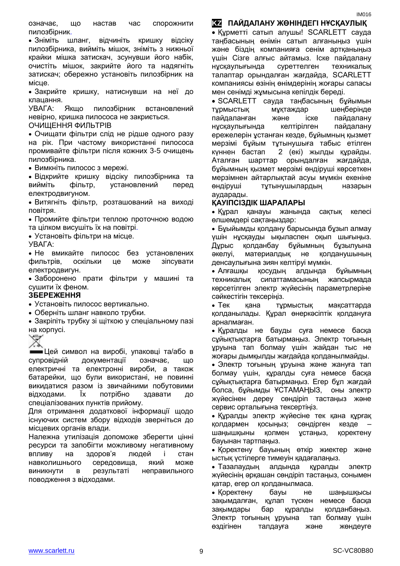означає, що настав час спорожнити пилозбірник.

 Зніміть шланг, відчиніть кришку відсіку пилозбірника, вийміть мішок, зніміть з нижньої крайки мішка затискач, зсунувши його набік, очистіть мішок, закрийте його та надягніть затискач; обережно установіть пилозбірник на місце.

 Закрийте кришку, натиснувши на неї до клацання.

УВАГА: Якщо пилозбірник встановлений невірно, кришка пилососа не закриється.

ОЧИЩЕННЯ ФИЛЬТРІВ

 Очищати фільтри слід не рідше одного разу на рік. При частому використанні пилососа промивайте фільтри після кожних 3-5 очищень пилозбірника.

Вимкніть пилосос з мережі.

 Відкрийте кришку відсіку пилозбірника та вийміть фільтр, установлений перед електродвигуном.

 Витягніть фільтр, розташований на виході повітря.

 Промийте фільтри теплою проточною водою та цілком висушіть їх на повітрі.

Установіть фільтри на місце.

УВАГА:

• Не вмикайте пилосос без установлених фильтрів, оскільки це може зіпсувати електродвигун.

 Заборонено прати фільтри у машині та сушити їх феном.

#### **ЗБЕРЕЖЕННЯ**

Установіть пилосос вертикально.

Оберніть шланг навколо трубки.

 Закріпіть трубку зі щіткою у спеціальному пазі на корпусі.



Цей символ на виробі, упаковці та/або в супровідній документації означає, що електричні та електронні вироби, а також батарейки, що були використані, не повинні викидатися разом із звичайними побутовими відходами. Їх потрібно здавати до спеціалізованих пунктів прийому.

Для отримання додаткової інформації щодо існуючих систем збору відходів зверніться до місцевих органів влади.

Належна утилізація допоможе зберегти цінні ресурси та запобігти можливому негативному впливу на здоров'я людей і стан навколишнього середовища, який може виникнути в результаті неправильного поводження з відходами.

**KZ ПАЙДАЛАНУ ЖӨНІНДЕГІ НҰСҚАУЛЫҚ**

 Құрметті сатып алушы! SCARLETT сауда таңбасының өнімін сатып алғаныңыз үшін және біздің компанияға сенім артқаныңыз үшін Сізге алғыс айтамыз. Іске пайдалану нұсқаулығында суреттелген техникалық талаптар орындалған жағдайда, SCARLETT компаниясы өзінің өнімдерінің жоғары сапасы мен сенімді жұмысына кепілдік береді.

 SCARLETT сауда таңбасының бұйымын тұрмыстық мұқтаждар шеңберінде пайдаланған және іске пайдалану нұсқаулығында келтірілген пайдалану ережелерін ұстанған кезде, бұйымның қызмет мерзімі бұйым тұтынушыға табыс етілген күннен бастап 2 (екі) жылды құрайды. Аталған шарттар орындалған жағдайда, бұйымның қызмет мерзімі өндіруші көрсеткен мерзімнен айтарлықтай асуы мүмкін екеніне өндіруші тұтынушылардың назарын аударады.

#### **ҚАУІПСІЗДІК ШАРАЛАРЫ**

 Құрал қанауы жанында сақтық келесі өлшемдері сақтаңыздар:

 Бұыйымды қолдану барысында бұзып алмау үшін нұсқауды ықыласпен оқып шығыңыз. Дұрыс қолданбау бұйымның бұзылуына әкелуі, материалдық не қолданушының денсаулығына зиян келтіруі мүмкін.

 Алғашқы қосудың алдында бұйымның техникалық сипаттамасының жапсырмада көрсетілген электр жүйесінің параметрлеріне сәйкестігін тексеріңіз.

 Тек қана тұрмыстық мақсаттарда қолданылады. Құрал өнеркәсіптік қолдануға арналмаған.

 Құралды не бауды суға немесе басқа сұйықтықтарға батырмаңыз. Электр тоғының ұруына тап болмау үшін жайдан тыс не жоғары дымқылды жағдайда қолданылмайды.

 Электр тоғының ұруына және жануға тап болмау үшін, құралды суға немесе басқа сұйықтықтарға батырмаңыз. Егер бұл жағдай болса, бұйымды ҰСТАМАҢЫЗ, оны электр жүйесінен дереу сөндіріп тастаңыз және сервис орталығына тексертіңіз.

 Құралды электр жүйесіне тек қана құрғақ қолдармен қосыңыз; сөндірген кезде – шаңышқыны қолмен ұстаңыз, қоректену бауынан тартпаңыз.

 Қоректену бауының өткір жиектер және ыстық үстілерге тимеуін қадағалаңыз.

 Тазалаудың алдында құралды электр жүйесінің әрқашан сөндіріп тастаңыз, сонымен қатар, егер ол қолданылмаса.

 Қоректену бауы не шаңышқысы зақымдалған, құлап түскен немесе басқа зақымдары бар құралды қолданбаңыз. Электр тоғының ұруына тап болмау үшін өздігінен талдауға және жөндеуге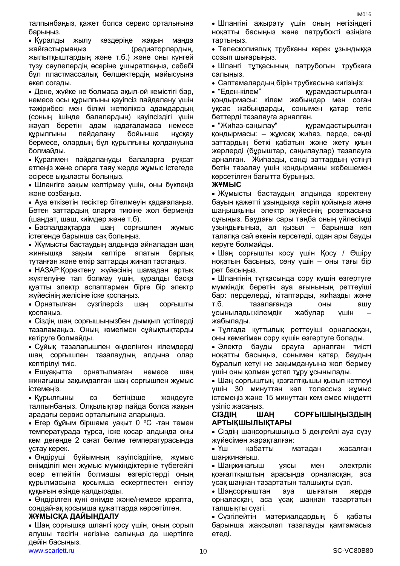талпынбаңыз, қажет болса сервис орталығына барыңыз.

 Құралды жылу көздеріңе жақын маңда жайғастырмаңыз (радиаторлардың, жылытқыштардың және т.б.) және оны күнгей түзу сәулелердің әсеріне ұшыратпаңыз, себебі бұл пластмассалық бөлшектердің майысуына әкеп соғады.

 Дене, жүйке не болмаса ақыл-ой кемістігі бар, немесе осы құрылғыны қауіпсіз пайдалану үшін тәжірибесі мен білімі жеткіліксіз адамдардың (соның ішінде балалардың) қауіпсіздігі үшін жауап беретін адам қадағаламаса немесе құрылғыны пайдалану бойынша нұсқау бермесе, олардың бұл құрылғыны қолдануына болмайды.

 Құралмен пайдалануды балаларға рұқсат етпеңіз және оларға таяу жерде жұмыс істегеде әсіресе ықыласты болыңыз.

 Шлангіге зақым келтірмеу үшін, оны бүкпеңіз және созбаңыз.

 Ауа өткізетін тесіктер бітелмеуін қадағалаңыз. Бөтен заттардың оларға тиюіне жол бермеңіз (шаңдат, шаш, киімдер және т.б).

 Баспалдақтарда шаң сорғышпен жұмыс істегенде барынша сақ болыңыз.

 Жұмысты бастаудың алдында айналадан шаң жинғышқа зақым келтіре алатын барлық тұтанған және өткір заттарды жинап тастаңыз.

 НАЗАР:Қоректену жүйесінің шамадан артық жүктелуіне тап болмау үшін, құралды басқа қуатты электр аспаптармен бірге бір электр жүйесінің желісіне іске қоспаңыз.

 Орнатылған сүзгілерсіз шаң сорғышты қоспаңыз.

 Сіздің шаң сорғышыңызбен дымқыл үстілерді тазаламаңыз. Оның көмегімен сұйықтықтарды кетіруге болмайды.

 Сұйық тазалағышпен өңделінген кілемдерді шаң сорғышпен тазалаудың алдына олар кептірілуі тиіс.

 Ешуақытта орнатылмаған немесе шаң жинағышы зақымдалған шаң сорғышпен жұмыс істемеңіз.

 Құрылғыны өз бетіңізше жөндеуге талпынбаңыз. Олқылықтар пайда болса жақын арадағы сервис орталығына апарыңыз.

 Егер бұйым біршама уақыт 0 ºC -тан төмен температурада тұрса, іске қосар алдында оны кем дегенде 2 сағат бөлме температурасында ұстау керек.

 Өндіруші бұйымның қауіпсіздігіне, жұмыс өнімділігі мен жұмыс мүмкіндіктеріне түбегейлі әсер етпейтін болмашы өзгерістерді оның құрылмасына қосымша ескертпестен енгізу құқығын өзінде қалдырады.

 Өндірілген күні өнімде және/немесе қорапта, сондай-ақ қосымша құжаттарда көрсетілген.

#### **ЖҰМЫСҚА ДАЙЫНДАЛУ**

www.scarlett.ru 10 SC-VC80B80 Шаң сорғышқа шлангі қосу үшін, оның сорып алушы тесігін негізіне салыңыз да шертілге дейін басыңыз.

 Шлангіні ажырату үшін оның негізіндегі ноқатты басыңыз және патрубокті өзіңізге тартыңыз.

 Телескопиялық трубканы керек ұзындыққа созып шығарыңыз.

 Шлангі тұтқасының патрубогын трубкаға салыңыз.

Саптамалардың бірін трубкасына кигізіңіз:

 "Еден-кілем" құрамдастырылған қондырмасы: кілем жабындар мен соған ұқсас жабындарды, сонымен қатар тегіс беттерді тазалауға арналған.

 "Жиһаз-саңылау" құрамдастырылған қондырмасы: – жұмсақ жиһаз, перде, сәнді заттардың беткі қабатын және жету қиын жерлерді (бұрыштар, саңылаулар) тазалауға арналған. Жиһазды, сәнді заттардың үстіңгі бетін тазалау үшін қондырманы жебешемен көрсетілген бағытта бұрыңыз.

#### **ЖҰМЫС**

 Жұмысты бастаудың алдында қоректену бауын қажетті ұзындыққа керіп қойыңыз және шаңышқыны электр жүйесінің розеткасына сұғыңыз. Баудағы сары таңба оның үйлесімді ұзындығыныа, ал қызыл – барынша көп талапқа сай екенін көрсетеді, одан ары бауды керуге болмайды.

 Шаң сорғышты қосу үшін Қосу / Өшіру ноқатын басыңыз, сөну үшін – оны тағы бір рет басыңыз.

 Шлангінің тұтқасында сору күшін өзгертуге мүмкіндік беретін ауа ағынының реттеуіші бар: перделерді, кітаптарды, жиһазды және т.б. тазалағанда оны ашу ұсынылады;кілемдік жабулар үшін – жабылады.

 Тұлғада қуттылық реттеуіші орналасқан, оны көмегімен сору күшін өзгертуге болады.

 Электр бауды орауға арналған тиісті ноқатты басыңыз, сонымен қатар, баудың бұралып кетуі не зақымдануына жол бермеу үшін оны қолмен ұстап тұру ұсынылады.

 Шаң сорғыштың қозғалтқышы қызып кетпеуі үшін 30 минуттан көп толассыз жұмыс істемеңіз және 15 минуттан кем емес міндетті үзіліс жасаңыз.

#### **СІЗДІҢ ШАҢ СОРҒЫШЫҢЫЗДЫҢ АРТЫҚШЫЛЫҚТАРЫ**

 Сіздің шаңсорғышыңыз 5 деңгейлі ауа сүзу жүйесімен жарақталған:

 Үш қабатты матадан жасалған шаңжинағыш.

 Шаңжинағыш ұясы мен электрлік қозғалтқыштың арасында орналасқан, аса ұсақ шаңнан тазартатын талшықты сүзгі.

 Шаңсорғыштан ауа шығатын жерде орналасқан, аса ұсақ шаңнан тазартатын талшықты сүзгі.

 Сүзгілейтін материалдардың 5 қабаты барынша жақсылап тазалауды қамтамасыз етеді.